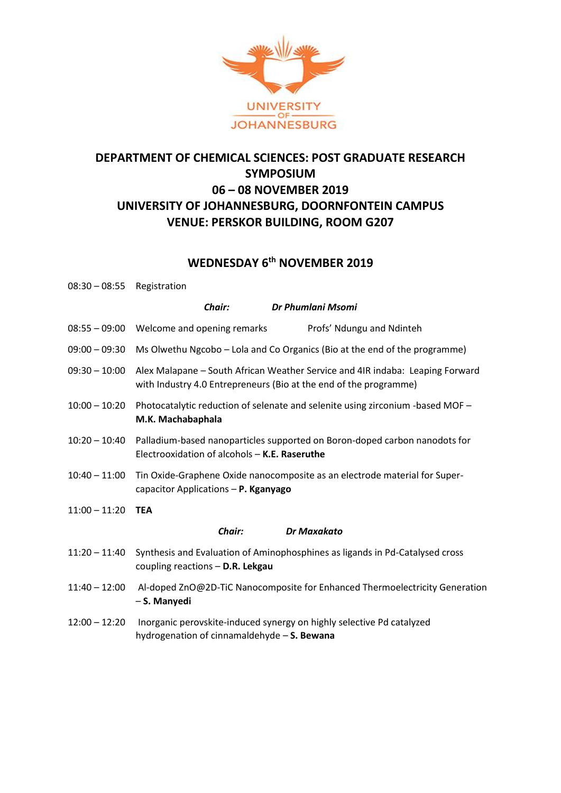

# **DEPARTMENT OF CHEMICAL SCIENCES: POST GRADUATE RESEARCH SYMPOSIUM 06 – 08 NOVEMBER 2019 UNIVERSITY OF JOHANNESBURG, DOORNFONTEIN CAMPUS VENUE: PERSKOR BUILDING, ROOM G207**

## **WEDNESDAY 6 th NOVEMBER 2019**

| $08:30 - 08:55$ Registration |                                                                                                                                                    |
|------------------------------|----------------------------------------------------------------------------------------------------------------------------------------------------|
|                              | Dr Phumlani Msomi<br>Chair:                                                                                                                        |
| $08:55 - 09:00$              | Profs' Ndungu and Ndinteh<br>Welcome and opening remarks                                                                                           |
| $09:00 - 09:30$              | Ms Olwethu Ngcobo - Lola and Co Organics (Bio at the end of the programme)                                                                         |
| $09:30 - 10:00$              | Alex Malapane - South African Weather Service and 4IR indaba: Leaping Forward<br>with Industry 4.0 Entrepreneurs (Bio at the end of the programme) |
| $10:00 - 10:20$              | Photocatalytic reduction of selenate and selenite using zirconium -based MOF -<br>M.K. Machabaphala                                                |
| $10:20 - 10:40$              | Palladium-based nanoparticles supported on Boron-doped carbon nanodots for<br>Electrooxidation of alcohols - K.E. Raseruthe                        |
| $10:40 - 11:00$              | Tin Oxide-Graphene Oxide nanocomposite as an electrode material for Super-<br>capacitor Applications - P. Kganyago                                 |
| $11:00 - 11:20$              | <b>TEA</b>                                                                                                                                         |
|                              | Chair:<br><b>Dr Maxakato</b>                                                                                                                       |
| $11:20 - 11:40$              | Synthesis and Evaluation of Aminophosphines as ligands in Pd-Catalysed cross<br>coupling reactions - D.R. Lekgau                                   |
| $11:40 - 12:00$              | Al-doped ZnO@2D-TiC Nanocomposite for Enhanced Thermoelectricity Generation<br>- S. Manyedi                                                        |
| $12:00 - 12:20$              | Inorganic perovskite-induced synergy on highly selective Pd catalyzed<br>hydrogenation of cinnamaldehyde - S. Bewana                               |
|                              |                                                                                                                                                    |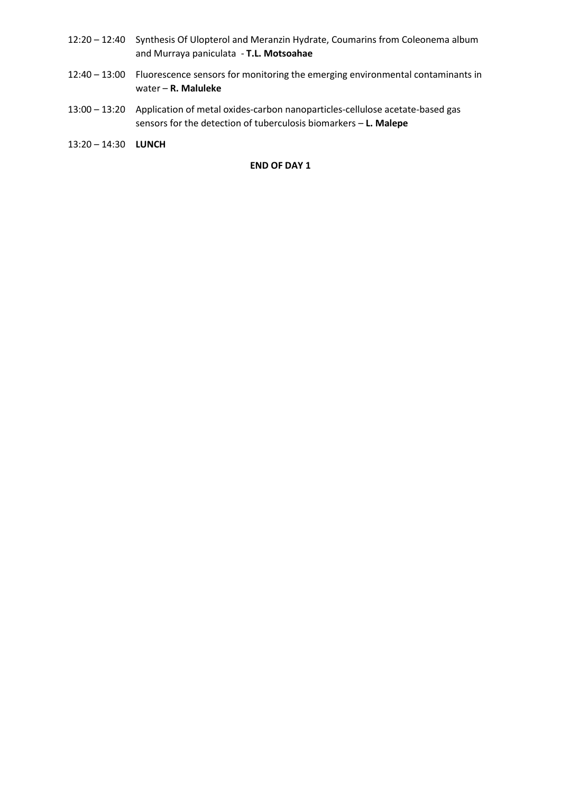- 12:20 12:40 Synthesis Of Ulopterol and Meranzin Hydrate, Coumarins from Coleonema album and Murraya paniculata - **T.L. Motsoahae**
- 12:40 13:00 Fluorescence sensors for monitoring the emerging environmental contaminants in water – **R. Maluleke**
- 13:00 13:20 Application of metal oxides-carbon nanoparticles-cellulose acetate-based gas sensors for the detection of tuberculosis biomarkers – **L. Malepe**

13:20 – 14:30 **LUNCH** 

#### **END OF DAY 1**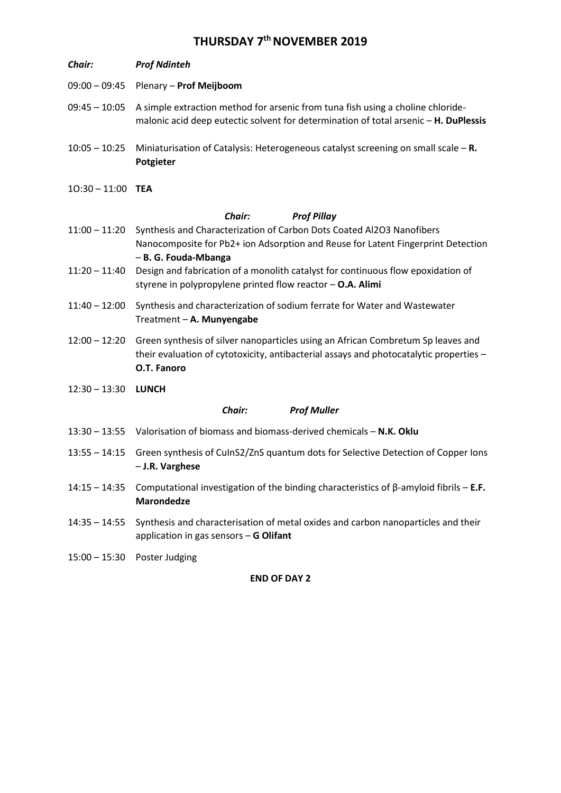# **THURSDAY 7th NOVEMBER 2019**

| Chair:                              | <b>Prof Ndinteh</b>                                                                                                                                                                       |  |
|-------------------------------------|-------------------------------------------------------------------------------------------------------------------------------------------------------------------------------------------|--|
| $09:00 - 09:45$                     | Plenary - Prof Meijboom                                                                                                                                                                   |  |
| $09:45 - 10:05$                     | A simple extraction method for arsenic from tuna fish using a choline chloride-<br>malonic acid deep eutectic solvent for determination of total arsenic - H. DuPlessis                   |  |
| $10:05 - 10:25$                     | Miniaturisation of Catalysis: Heterogeneous catalyst screening on small scale $-$ R.<br>Potgieter                                                                                         |  |
| $10:30 - 11:00$ TEA                 |                                                                                                                                                                                           |  |
|                                     | <b>Chair:</b><br><b>Prof Pillay</b>                                                                                                                                                       |  |
| $11:00 - 11:20$                     | Synthesis and Characterization of Carbon Dots Coated Al2O3 Nanofibers<br>Nanocomposite for Pb2+ ion Adsorption and Reuse for Latent Fingerprint Detection<br>- B. G. Fouda-Mbanga         |  |
| $11:20 - 11:40$                     | Design and fabrication of a monolith catalyst for continuous flow epoxidation of<br>styrene in polypropylene printed flow reactor $-$ O.A. Alimi                                          |  |
| $11:40 - 12:00$                     | Synthesis and characterization of sodium ferrate for Water and Wastewater<br>Treatment - A. Munyengabe                                                                                    |  |
| $12:00 - 12:20$                     | Green synthesis of silver nanoparticles using an African Combretum Sp leaves and<br>their evaluation of cytotoxicity, antibacterial assays and photocatalytic properties -<br>O.T. Fanoro |  |
| $12:30 - 13:30$                     | LUNCH                                                                                                                                                                                     |  |
| <b>Prof Muller</b><br><b>Chair:</b> |                                                                                                                                                                                           |  |
| $13:30 - 13:55$                     | Valorisation of biomass and biomass-derived chemicals - N.K. Oklu                                                                                                                         |  |
| $13:55 - 14:15$                     | Green synthesis of CulnS2/ZnS quantum dots for Selective Detection of Copper lons<br>- J.R. Varghese                                                                                      |  |
| $14:15 - 14:35$                     | Computational investigation of the binding characteristics of $\beta$ -amyloid fibrils - <b>E.F.</b><br><b>Marondedze</b>                                                                 |  |
| $14:35 - 14:55$                     | Synthesis and characterisation of metal oxides and carbon nanoparticles and their<br>application in gas sensors - G Olifant                                                               |  |
| $15:00 - 15:30$                     | Poster Judging                                                                                                                                                                            |  |

#### **END OF DAY 2**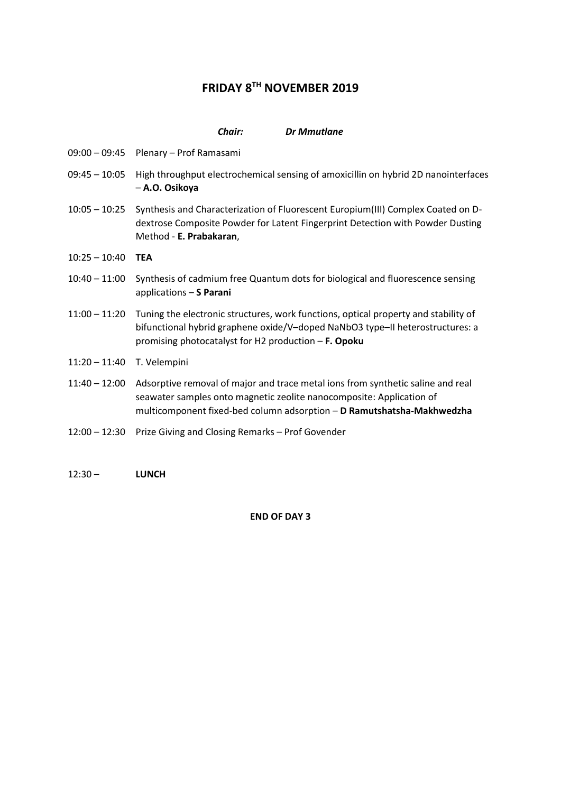## **FRIDAY 8TH NOVEMBER 2019**

#### *Chair: Dr Mmutlane*

- 09:00 09:45 Plenary Prof Ramasami
- 09:45 10:05 High throughput electrochemical sensing of amoxicillin on hybrid 2D nanointerfaces – **A.O. Osikoya**
- 10:05 10:25 Synthesis and Characterization of Fluorescent Europium(III) Complex Coated on Ddextrose Composite Powder for Latent Fingerprint Detection with Powder Dusting Method - **E. Prabakaran**,
- 10:25 10:40 **TEA**
- 10:40 11:00 Synthesis of cadmium free Quantum dots for biological and fluorescence sensing applications – **S Parani**
- 11:00 11:20 Tuning the electronic structures, work functions, optical property and stability of bifunctional hybrid graphene oxide/V–doped NaNbO3 type–II heterostructures: a promising photocatalyst for H2 production – **F. Opoku**
- 11:20 11:40 T. Velempini
- 11:40 12:00 Adsorptive removal of major and trace metal ions from synthetic saline and real seawater samples onto magnetic zeolite nanocomposite: Application of multicomponent fixed-bed column adsorption – **D Ramutshatsha-Makhwedzha**
- 12:00 12:30 Prize Giving and Closing Remarks Prof Govender
- 12:30 **LUNCH**

**END OF DAY 3**